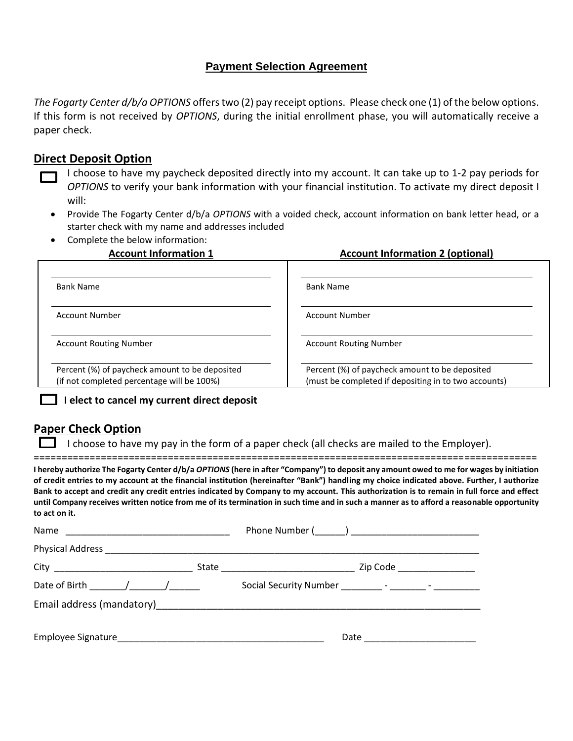# **Payment Selection Agreement**

*The Fogarty Center d/b/a OPTIONS* offers two (2) pay receipt options. Please check one (1) of the below options. If this form is not received by *OPTIONS*, during the initial enrollment phase, you will automatically receive a paper check.

# **Direct Deposit Option**

- I choose to have my paycheck deposited directly into my account. It can take up to 1-2 pay periods for *OPTIONS* to verify your bank information with your financial institution. To activate my direct deposit I will:
	- Provide The Fogarty Center d/b/a *OPTIONS* with a voided check, account information on bank letter head, or a starter check with my name and addresses included
- Complete the below information:

## **Account Information 1 Account Information 2 (optional)**

| Account Information 2 (6) |  |  |
|---------------------------|--|--|
|                           |  |  |

| <b>Bank Name</b>                                                                             | <b>Bank Name</b>                                                                                       |
|----------------------------------------------------------------------------------------------|--------------------------------------------------------------------------------------------------------|
| Account Number                                                                               | Account Number                                                                                         |
| <b>Account Routing Number</b>                                                                | <b>Account Routing Number</b>                                                                          |
| Percent (%) of paycheck amount to be deposited<br>(if not completed percentage will be 100%) | Percent (%) of paycheck amount to be deposited<br>(must be completed if depositing in to two accounts) |

#### **I elect to cancel my current direct deposit**

# **Paper Check Option**

**to act on it.**

I choose to have my pay in the form of a paper check (all checks are mailed to the Employer).

========================================================================================== **I hereby authorize The Fogarty Center d/b/a** *OPTIONS* **(here in after "Company") to deposit any amount owed to me for wages by initiation of credit entries to my account at the financial institution (hereinafter "Bank") handling my choice indicated above. Further, I authorize Bank to accept and credit any credit entries indicated by Company to my account. This authorization is to remain in full force and effect until Company receives written notice from me of its termination in such time and in such a manner as to afford a reasonable opportunity** 

| Date of Birth $\frac{1}{\sqrt{1-\frac{1}{2}}}\left[\frac{1}{\sqrt{1-\frac{1}{2}}}\right]$ |                                |
|-------------------------------------------------------------------------------------------|--------------------------------|
|                                                                                           |                                |
|                                                                                           | Date <u>______________</u> ___ |